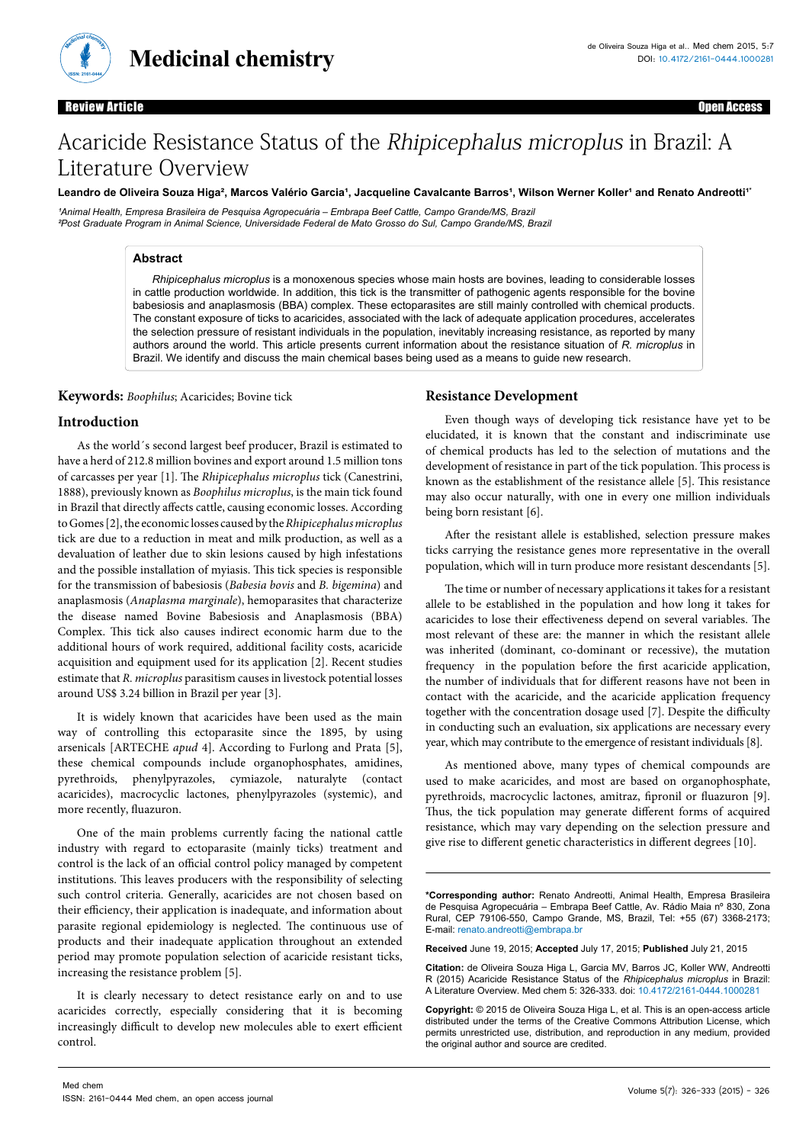

**Medicinal chemistry**

### Review Article Open Access

# Acaricide Resistance Status of the Rhipicephalus microplus in Brazil: A Literature Overview

#### Leandro de Oliveira Souza Higa<sup>2</sup>, Marcos Valério Garcia<sup>1</sup>, Jacqueline Cavalcante Barros<sup>1</sup>, Wilson Werner Koller<sup>1</sup> and Renato Andreotti<sup>1</sup>\*

<sup>1</sup>Animal Health, Empresa Brasileira de Pesquisa Agropecuária – Embrapa Beef Cattle, Campo Grande/MS, Brazil *²Post Graduate Program in Animal Science, Universidade Federal de Mato Grosso do Sul, Campo Grande/MS, Brazil*

# **Abstract**

*Rhipicephalus microplus* is a monoxenous species whose main hosts are bovines, leading to considerable losses in cattle production worldwide. In addition, this tick is the transmitter of pathogenic agents responsible for the bovine babesiosis and anaplasmosis (BBA) complex. These ectoparasites are still mainly controlled with chemical products. The constant exposure of ticks to acaricides, associated with the lack of adequate application procedures, accelerates the selection pressure of resistant individuals in the population, inevitably increasing resistance, as reported by many authors around the world. This article presents current information about the resistance situation of *R. microplus* in Brazil. We identify and discuss the main chemical bases being used as a means to guide new research.

**Keywords:** *Boophilus*; Acaricides; Bovine tick

# **Introduction**

As the world´s second largest beef producer, Brazil is estimated to have a herd of 212.8 million bovines and export around 1.5 million tons of carcasses per year [1]. The *Rhipicephalus microplus* tick (Canestrini, 1888), previously known as *Boophilus microplus*, is the main tick found in Brazil that directly affects cattle, causing economic losses. According to Gomes [2], the economic losses caused by the *Rhipicephalusmicroplus*  tick are due to a reduction in meat and milk production, as well as a devaluation of leather due to skin lesions caused by high infestations and the possible installation of myiasis. This tick species is responsible for the transmission of babesiosis (*Babesia bovis* and *B. bigemina*) and anaplasmosis (*Anaplasma marginale*), hemoparasites that characterize the disease named Bovine Babesiosis and Anaplasmosis (BBA) Complex. This tick also causes indirect economic harm due to the additional hours of work required, additional facility costs, acaricide acquisition and equipment used for its application [2]. Recent studies estimate that *R. microplus* parasitism causes in livestock potential losses around US\$ 3.24 billion in Brazil per year [3].

It is widely known that acaricides have been used as the main way of controlling this ectoparasite since the 1895, by using arsenicals [ARTECHE *apud* 4]. According to Furlong and Prata [5], these chemical compounds include organophosphates, amidines, pyrethroids, phenylpyrazoles, cymiazole, naturalyte (contact acaricides), macrocyclic lactones, phenylpyrazoles (systemic), and more recently, fluazuron.

One of the main problems currently facing the national cattle industry with regard to ectoparasite (mainly ticks) treatment and control is the lack of an official control policy managed by competent institutions. This leaves producers with the responsibility of selecting such control criteria. Generally, acaricides are not chosen based on their efficiency, their application is inadequate, and information about parasite regional epidemiology is neglected. The continuous use of products and their inadequate application throughout an extended period may promote population selection of acaricide resistant ticks, increasing the resistance problem [5].

It is clearly necessary to detect resistance early on and to use acaricides correctly, especially considering that it is becoming increasingly difficult to develop new molecules able to exert efficient control.

#### **Resistance Development**

Even though ways of developing tick resistance have yet to be elucidated, it is known that the constant and indiscriminate use of chemical products has led to the selection of mutations and the development of resistance in part of the tick population. This process is known as the establishment of the resistance allele [5]. This resistance may also occur naturally, with one in every one million individuals being born resistant [6].

After the resistant allele is established, selection pressure makes ticks carrying the resistance genes more representative in the overall population, which will in turn produce more resistant descendants [5].

The time or number of necessary applications it takes for a resistant allele to be established in the population and how long it takes for acaricides to lose their effectiveness depend on several variables. The most relevant of these are: the manner in which the resistant allele was inherited (dominant, co-dominant or recessive), the mutation frequency in the population before the first acaricide application, the number of individuals that for different reasons have not been in contact with the acaricide, and the acaricide application frequency together with the concentration dosage used [7]. Despite the difficulty in conducting such an evaluation, six applications are necessary every year, which may contribute to the emergence of resistant individuals [8].

As mentioned above, many types of chemical compounds are used to make acaricides, and most are based on organophosphate, pyrethroids, macrocyclic lactones, amitraz, fipronil or fluazuron [9]. Thus, the tick population may generate different forms of acquired resistance, which may vary depending on the selection pressure and give rise to different genetic characteristics in different degrees [10].

**\*Corresponding author:** Renato Andreotti, Animal Health, Empresa Brasileira de Pesquisa Agropecuária – Embrapa Beef Cattle, Av. Rádio Maia nº 830, Zona Rural, CEP 79106-550, Campo Grande, MS, Brazil, Tel: +55 (67) 3368-2173; E-mail: [renato.andreotti@embrapa.br](mailto:renato.andreotti@embrapa.br)

**Received** June 19, 2015; **Accepted** July 17, 2015; **Published** July 21, 2015

**Citation:** de Oliveira Souza Higa L, Garcia MV, Barros JC, Koller WW, Andreotti R (2015) Acaricide Resistance Status of the *Rhipicephalus microplus* in Brazil: A Literature Overview. Med chem 5: 326-333. doi: 10.4172/2161-0444.1000281

**Copyright:** © 2015 de Oliveira Souza Higa L, et al. This is an open-access article distributed under the terms of the Creative Commons Attribution License, which permits unrestricted use, distribution, and reproduction in any medium, provided the original author and source are credited.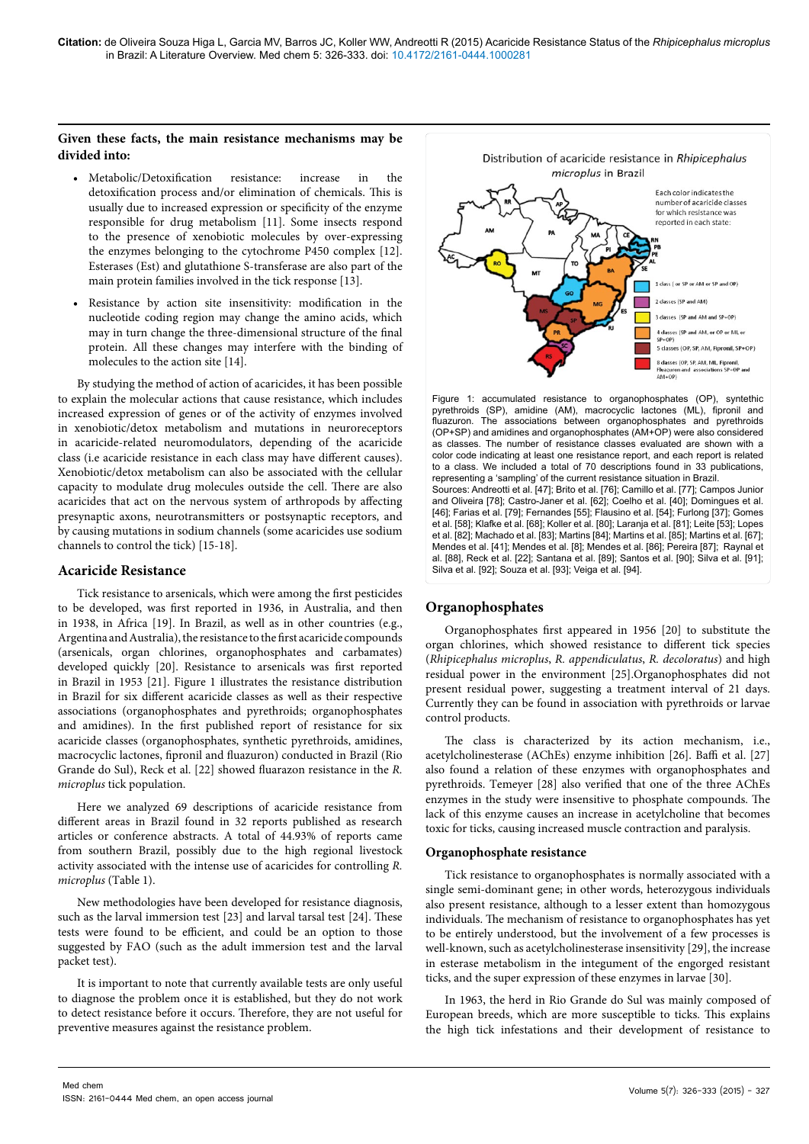# **Given these facts, the main resistance mechanisms may be divided into:**

- **•**  Metabolic/Detoxification resistance: increase in the detoxification process and/or elimination of chemicals. This is usually due to increased expression or specificity of the enzyme responsible for drug metabolism [11]. Some insects respond to the presence of xenobiotic molecules by over-expressing the enzymes belonging to the cytochrome P450 complex [12]. Esterases (Est) and glutathione S-transferase are also part of the main protein families involved in the tick response [13].
- Resistance by action site insensitivity: modification in the nucleotide coding region may change the amino acids, which may in turn change the three-dimensional structure of the final protein. All these changes may interfere with the binding of molecules to the action site [14].

By studying the method of action of acaricides, it has been possible to explain the molecular actions that cause resistance, which includes increased expression of genes or of the activity of enzymes involved in xenobiotic/detox metabolism and mutations in neuroreceptors in acaricide-related neuromodulators, depending of the acaricide class (i.e acaricide resistance in each class may have different causes). Xenobiotic/detox metabolism can also be associated with the cellular capacity to modulate drug molecules outside the cell. There are also acaricides that act on the nervous system of arthropods by affecting presynaptic axons, neurotransmitters or postsynaptic receptors, and by causing mutations in sodium channels (some acaricides use sodium channels to control the tick) [15-18].

### **Acaricide Resistance**

Tick resistance to arsenicals, which were among the first pesticides to be developed, was first reported in 1936, in Australia, and then in 1938, in Africa [19]. In Brazil, as well as in other countries (e.g., Argentina and Australia), the resistance to the first acaricide compounds (arsenicals, organ chlorines, organophosphates and carbamates) developed quickly [20]. Resistance to arsenicals was first reported in Brazil in 1953 [21]. Figure 1 illustrates the resistance distribution in Brazil for six different acaricide classes as well as their respective associations (organophosphates and pyrethroids; organophosphates and amidines). In the first published report of resistance for six acaricide classes (organophosphates, synthetic pyrethroids, amidines, macrocyclic lactones, fipronil and fluazuron) conducted in Brazil (Rio Grande do Sul), Reck et al. [22] showed fluarazon resistance in the *R. microplus* tick population.

Here we analyzed 69 descriptions of acaricide resistance from different areas in Brazil found in 32 reports published as research articles or conference abstracts. A total of 44.93% of reports came from southern Brazil, possibly due to the high regional livestock activity associated with the intense use of acaricides for controlling *R. microplus* (Table 1).

New methodologies have been developed for resistance diagnosis, such as the larval immersion test [23] and larval tarsal test [24]. These tests were found to be efficient, and could be an option to those suggested by FAO (such as the adult immersion test and the larval packet test).

It is important to note that currently available tests are only useful to diagnose the problem once it is established, but they do not work to detect resistance before it occurs. Therefore, they are not useful for preventive measures against the resistance problem.



Figure 1: accumulated resistance to organophosphates (OP), syntethic pyrethroids (SP), amidine (AM), macrocyclic lactones (ML), fipronil and fluazuron. The associations between organophosphates and pyrethroids (OP+SP) and amidines and organophosphates (AM+OP) were also considered as classes. The number of resistance classes evaluated are shown with a color code indicating at least one resistance report, and each report is related to a class. We included a total of 70 descriptions found in 33 publications, representing a 'sampling' of the current resistance situation in Brazil. Sources: Andreotti et al. [47]; Brito et al. [76]; Camillo et al. [77]; Campos Junior

and Oliveira [78]; Castro-Janer et al. [62]; Coelho et al. [40]; Domingues et al. [46]; Farias et al. [79]; Fernandes [55]; Flausino et al. [54]; Furlong [37]; Gomes et al. [58]; Klafke et al. [68]; Koller et al. [80]; Laranja et al. [81]; Leite [53]; Lopes et al. [82]; Machado et al. [83]; Martins [84]; Martins et al. [85]; Martins et al. [67]; Mendes et al. [41]; Mendes et al. [8]; Mendes et al. [86]; Pereira [87]; Raynal et al. [88], Reck et al. [22]; Santana et al. [89]; Santos et al. [90]; Silva et al. [91]; Silva et al. [92]; Souza et al. [93]; Veiga et al. [94].

# **Organophosphates**

Organophosphates first appeared in 1956 [20] to substitute the organ chlorines, which showed resistance to different tick species (*Rhipicephalus microplus*, *R. appendiculatus*, *R. decoloratus*) and high residual power in the environment [25].Organophosphates did not present residual power, suggesting a treatment interval of 21 days. Currently they can be found in association with pyrethroids or larvae control products.

The class is characterized by its action mechanism, i.e., acetylcholinesterase (AChEs) enzyme inhibition [26]. Baffi et al. [27] also found a relation of these enzymes with organophosphates and pyrethroids. Temeyer [28] also verified that one of the three AChEs enzymes in the study were insensitive to phosphate compounds. The lack of this enzyme causes an increase in acetylcholine that becomes toxic for ticks, causing increased muscle contraction and paralysis.

### **Organophosphate resistance**

Tick resistance to organophosphates is normally associated with a single semi-dominant gene; in other words, heterozygous individuals also present resistance, although to a lesser extent than homozygous individuals. The mechanism of resistance to organophosphates has yet to be entirely understood, but the involvement of a few processes is well-known, such as acetylcholinesterase insensitivity [29], the increase in esterase metabolism in the integument of the engorged resistant ticks, and the super expression of these enzymes in larvae [30].

In 1963, the herd in Rio Grande do Sul was mainly composed of European breeds, which are more susceptible to ticks. This explains the high tick infestations and their development of resistance to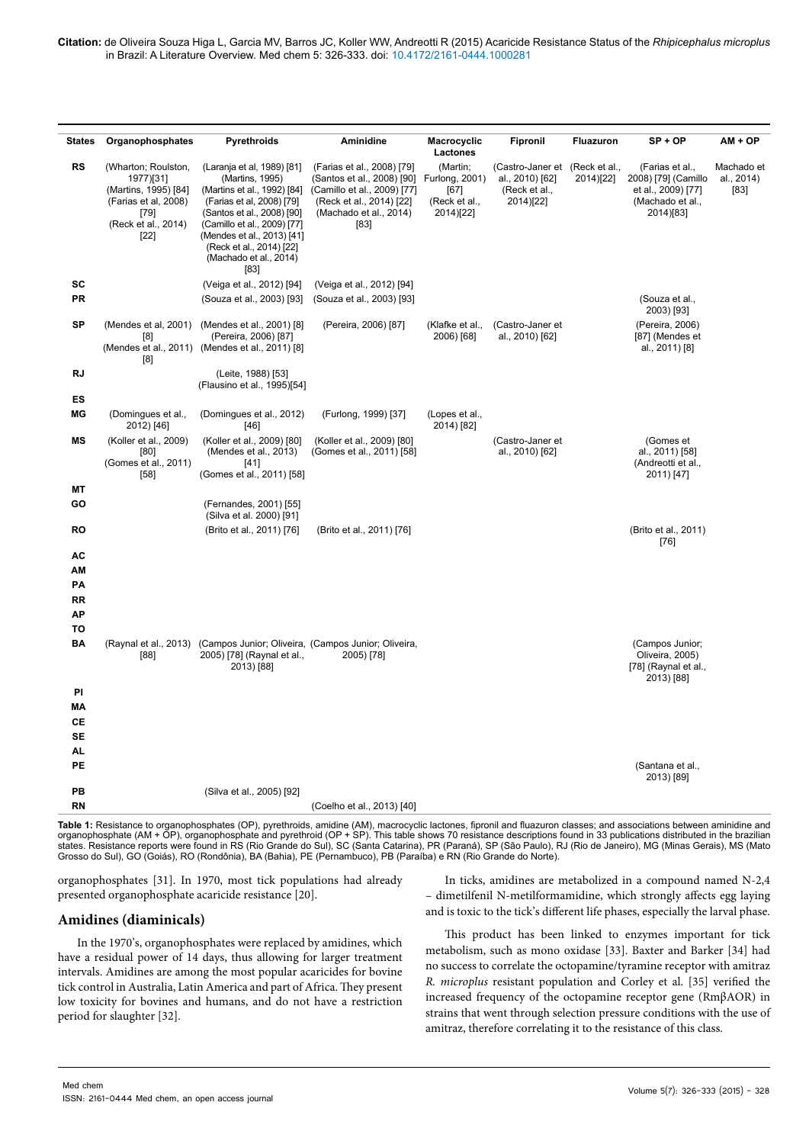| <b>States</b>                           | Organophosphates                                                                                                          | Pyrethroids                                                                                                                                                                                          | Aminidine                                                                                                                                             | Macrocyclic                                                                  | Fipronil                                                          | Fluazuron                  | $SP + OP$                                                                                     | $AM + OP$                        |
|-----------------------------------------|---------------------------------------------------------------------------------------------------------------------------|------------------------------------------------------------------------------------------------------------------------------------------------------------------------------------------------------|-------------------------------------------------------------------------------------------------------------------------------------------------------|------------------------------------------------------------------------------|-------------------------------------------------------------------|----------------------------|-----------------------------------------------------------------------------------------------|----------------------------------|
| RS                                      | (Wharton; Roulston,<br>1977)[31]<br>(Martins, 1995) [84]<br>(Farias et al, 2008)<br>[79]<br>(Reck et al., 2014)<br>$[22]$ | (Laranja et al, 1989) [81]<br>(Martins, 1995)<br>(Martins et al., 1992) [84]<br>(Farias et al, 2008) [79]<br>(Santos et al., 2008) [90]<br>(Camillo et al., 2009) [77]<br>(Mendes et al., 2013) [41] | (Farias et al., 2008) [79]<br>(Santos et al., 2008) [90]<br>(Camillo et al., 2009) [77]<br>(Reck et al., 2014) [22]<br>(Machado et al., 2014)<br>[83] | Lactones<br>(Martin;<br>Furlong, 2001)<br>[67]<br>(Reck et al.,<br>2014)[22] | (Castro-Janer et<br>al., 2010) [62]<br>(Reck et al.,<br>2014)[22] | (Reck et al.,<br>2014)[22] | (Farias et al.,<br>2008) [79] (Camillo<br>et al., 2009) [77]<br>(Machado et al.,<br>2014)[83] | Machado et<br>al., 2014)<br>[83] |
| SC<br>PR                                |                                                                                                                           | (Reck et al., 2014) [22]<br>(Machado et al., 2014)<br>[83]<br>(Veiga et al., 2012) [94]<br>(Souza et al., 2003) [93]                                                                                 | (Veiga et al., 2012) [94]<br>(Souza et al., 2003) [93]                                                                                                |                                                                              |                                                                   |                            | (Souza et al.,                                                                                |                                  |
|                                         |                                                                                                                           |                                                                                                                                                                                                      |                                                                                                                                                       |                                                                              |                                                                   |                            | 2003) [93]                                                                                    |                                  |
| <b>SP</b>                               | (Mendes et al, 2001)<br>[8]<br>[8]                                                                                        | (Mendes et al., 2001) [8]<br>(Pereira, 2006) [87]<br>(Mendes et al., 2011) (Mendes et al., 2011) [8]                                                                                                 | (Pereira, 2006) [87]                                                                                                                                  | (Klafke et al.,<br>2006) [68]                                                | (Castro-Janer et<br>al., 2010) [62]                               |                            | (Pereira, 2006)<br>[87] (Mendes et<br>al., 2011) [8]                                          |                                  |
| RJ                                      |                                                                                                                           | (Leite, 1988) [53]<br>(Flausino et al., 1995)[54]                                                                                                                                                    |                                                                                                                                                       |                                                                              |                                                                   |                            |                                                                                               |                                  |
| ES<br>ΜG                                | (Domingues et al.,                                                                                                        | (Domingues et al., 2012)                                                                                                                                                                             | (Furlong, 1999) [37]                                                                                                                                  | (Lopes et al.,                                                               |                                                                   |                            |                                                                                               |                                  |
|                                         | 2012) [46]                                                                                                                | [46]                                                                                                                                                                                                 |                                                                                                                                                       | 2014) [82]                                                                   |                                                                   |                            |                                                                                               |                                  |
| ΜS                                      | (Koller et al., 2009)<br>[80]<br>(Gomes et al., 2011)<br>$[58]$                                                           | (Koller et al., 2009) [80]<br>(Mendes et al., 2013)<br>[41]<br>(Gomes et al., 2011) [58]                                                                                                             | (Koller et al., 2009) [80]<br>(Gomes et al., 2011) [58]                                                                                               |                                                                              | (Castro-Janer et<br>al., 2010) [62]                               |                            | (Gomes et<br>al., 2011) [58]<br>(Andreotti et al.,<br>2011) [47]                              |                                  |
| МT                                      |                                                                                                                           |                                                                                                                                                                                                      |                                                                                                                                                       |                                                                              |                                                                   |                            |                                                                                               |                                  |
| GO                                      |                                                                                                                           | (Fernandes, 2001) [55]<br>(Silva et al. 2000) [91]                                                                                                                                                   |                                                                                                                                                       |                                                                              |                                                                   |                            |                                                                                               |                                  |
| RO                                      |                                                                                                                           | (Brito et al., 2011) [76]                                                                                                                                                                            | (Brito et al., 2011) [76]                                                                                                                             |                                                                              |                                                                   |                            | (Brito et al., 2011)<br>$[76]$                                                                |                                  |
| АC<br>ΑМ<br>PA<br><b>RR</b><br>АP<br>то |                                                                                                                           |                                                                                                                                                                                                      |                                                                                                                                                       |                                                                              |                                                                   |                            |                                                                                               |                                  |
| BA                                      | (Raynal et al., 2013)<br>$[88]$                                                                                           | (Campos Junior; Oliveira, (Campos Junior; Oliveira,<br>2005) [78] (Raynal et al.,<br>2013) [88]                                                                                                      | 2005) [78]                                                                                                                                            |                                                                              |                                                                   |                            | (Campos Junior;<br>Oliveira, 2005)<br>[78] (Raynal et al.,<br>2013) [88]                      |                                  |
| PI                                      |                                                                                                                           |                                                                                                                                                                                                      |                                                                                                                                                       |                                                                              |                                                                   |                            |                                                                                               |                                  |
| MА<br>CЕ                                |                                                                                                                           |                                                                                                                                                                                                      |                                                                                                                                                       |                                                                              |                                                                   |                            |                                                                                               |                                  |
| SE                                      |                                                                                                                           |                                                                                                                                                                                                      |                                                                                                                                                       |                                                                              |                                                                   |                            |                                                                                               |                                  |
| AL                                      |                                                                                                                           |                                                                                                                                                                                                      |                                                                                                                                                       |                                                                              |                                                                   |                            |                                                                                               |                                  |
| PE                                      |                                                                                                                           |                                                                                                                                                                                                      |                                                                                                                                                       |                                                                              |                                                                   |                            | (Santana et al.,<br>2013) [89]                                                                |                                  |
| PВ                                      |                                                                                                                           | (Silva et al., 2005) [92]                                                                                                                                                                            |                                                                                                                                                       |                                                                              |                                                                   |                            |                                                                                               |                                  |
| RN                                      |                                                                                                                           |                                                                                                                                                                                                      | (Coelho et al., 2013) [40]                                                                                                                            |                                                                              |                                                                   |                            |                                                                                               |                                  |

**Table 1:** Resistance to organophosphates (OP), pyrethroids, amidine (AM), macrocyclic lactones, fipronil and fluazuron classes; and associations between aminidine and organophosphate (AM + OP), organophosphate and pyrethroid (OP + SP). This table shows 70 resistance descriptions found in 33 publications distributed in the brazilian<br>states. Resistance reports were found in RS (Rio Grande Grosso do Sul), GO (Goiás), RO (Rondônia), BA (Bahia), PE (Pernambuco), PB (Paraíba) e RN (Rio Grande do Norte).

organophosphates [31]. In 1970, most tick populations had already presented organophosphate acaricide resistance [20].

# **Amidines (diaminicals)**

In the 1970's, organophosphates were replaced by amidines, which have a residual power of 14 days, thus allowing for larger treatment intervals. Amidines are among the most popular acaricides for bovine tick control in Australia, Latin America and part of Africa. They present low toxicity for bovines and humans, and do not have a restriction period for slaughter [32].

In ticks, amidines are metabolized in a compound named N-2,4 – dimetilfenil N-metilformamidine, which strongly affects egg laying and is toxic to the tick's different life phases, especially the larval phase.

This product has been linked to enzymes important for tick metabolism, such as mono oxidase [33]. Baxter and Barker [34] had no success to correlate the octopamine/tyramine receptor with amitraz *R. microplus* resistant population and Corley et al. [35] verified the increased frequency of the octopamine receptor gene (RmβAOR) in strains that went through selection pressure conditions with the use of amitraz, therefore correlating it to the resistance of this class.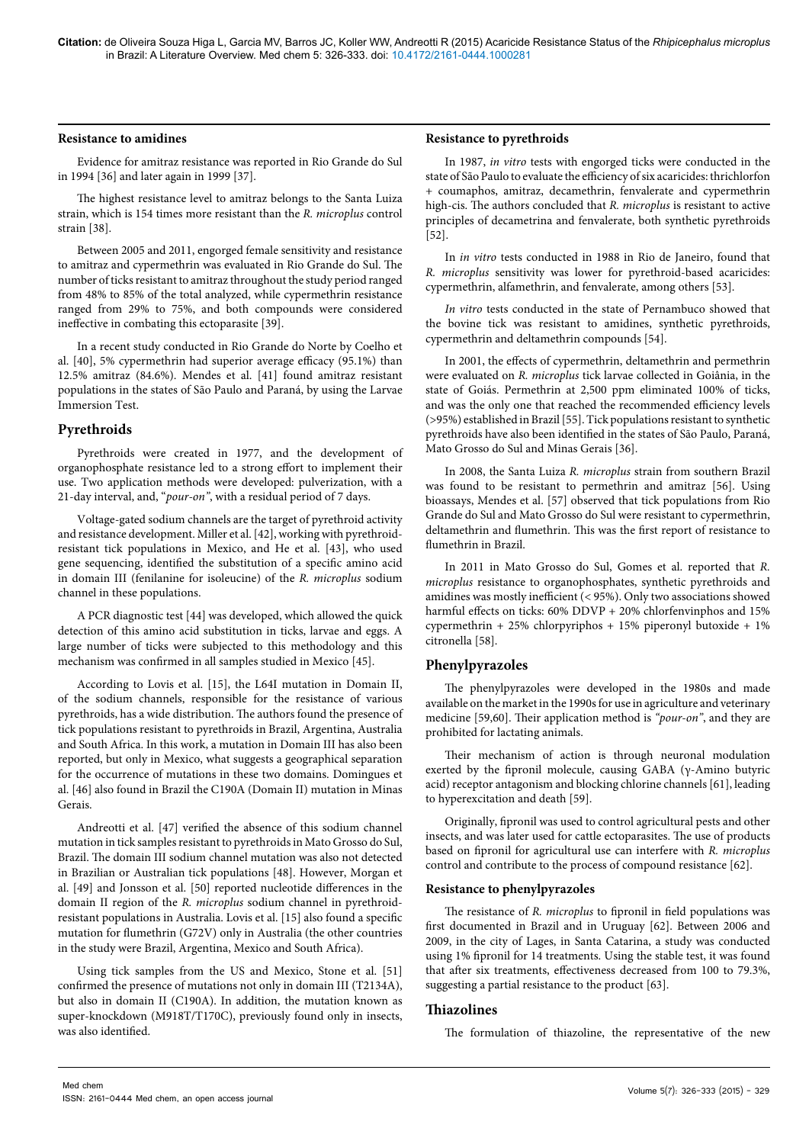#### **Resistance to amidines**

Evidence for amitraz resistance was reported in Rio Grande do Sul in 1994 [36] and later again in 1999 [37].

The highest resistance level to amitraz belongs to the Santa Luiza strain, which is 154 times more resistant than the *R. microplus* control strain [38].

Between 2005 and 2011, engorged female sensitivity and resistance to amitraz and cypermethrin was evaluated in Rio Grande do Sul. The number of ticks resistant to amitraz throughout the study period ranged from 48% to 85% of the total analyzed, while cypermethrin resistance ranged from 29% to 75%, and both compounds were considered ineffective in combating this ectoparasite [39].

In a recent study conducted in Rio Grande do Norte by Coelho et al. [40], 5% cypermethrin had superior average efficacy (95.1%) than 12.5% amitraz (84.6%). Mendes et al. [41] found amitraz resistant populations in the states of São Paulo and Paraná, by using the Larvae Immersion Test.

#### **Pyrethroids**

Pyrethroids were created in 1977, and the development of organophosphate resistance led to a strong effort to implement their use. Two application methods were developed: pulverization, with a 21-day interval, and, "*pour-on"*, with a residual period of 7 days.

Voltage-gated sodium channels are the target of pyrethroid activity and resistance development. Miller et al. [42], working with pyrethroidresistant tick populations in Mexico, and He et al. [43], who used gene sequencing, identified the substitution of a specific amino acid in domain III (fenilanine for isoleucine) of the *R. microplus* sodium channel in these populations.

A PCR diagnostic test [44] was developed, which allowed the quick detection of this amino acid substitution in ticks, larvae and eggs. A large number of ticks were subjected to this methodology and this mechanism was confirmed in all samples studied in Mexico [45].

According to Lovis et al. [15], the L64I mutation in Domain II, of the sodium channels, responsible for the resistance of various pyrethroids, has a wide distribution. The authors found the presence of tick populations resistant to pyrethroids in Brazil, Argentina, Australia and South Africa. In this work, a mutation in Domain III has also been reported, but only in Mexico, what suggests a geographical separation for the occurrence of mutations in these two domains. Domingues et al. [46] also found in Brazil the C190A (Domain II) mutation in Minas Gerais.

Andreotti et al. [47] verified the absence of this sodium channel mutation in tick samples resistant to pyrethroids in Mato Grosso do Sul, Brazil. The domain III sodium channel mutation was also not detected in Brazilian or Australian tick populations [48]. However, Morgan et al. [49] and Jonsson et al. [50] reported nucleotide differences in the domain II region of the *R. microplus* sodium channel in pyrethroidresistant populations in Australia. Lovis et al. [15] also found a specific mutation for flumethrin (G72V) only in Australia (the other countries in the study were Brazil, Argentina, Mexico and South Africa).

Using tick samples from the US and Mexico, Stone et al. [51] confirmed the presence of mutations not only in domain III (T2134A), but also in domain II (C190A). In addition, the mutation known as super-knockdown (M918T/T170C), previously found only in insects, was also identified.

#### **Resistance to pyrethroids**

In 1987, *in vitro* tests with engorged ticks were conducted in the state of São Paulo to evaluate the efficiency of six acaricides: thrichlorfon + coumaphos, amitraz, decamethrin, fenvalerate and cypermethrin high-cis. The authors concluded that *R. microplus* is resistant to active principles of decametrina and fenvalerate, both synthetic pyrethroids [52].

In *in vitro* tests conducted in 1988 in Rio de Janeiro, found that *R. microplus* sensitivity was lower for pyrethroid-based acaricides: cypermethrin, alfamethrin, and fenvalerate, among others [53].

*In vitro* tests conducted in the state of Pernambuco showed that the bovine tick was resistant to amidines, synthetic pyrethroids, cypermethrin and deltamethrin compounds [54].

In 2001, the effects of cypermethrin, deltamethrin and permethrin were evaluated on *R. microplus* tick larvae collected in Goiânia, in the state of Goiás. Permethrin at 2,500 ppm eliminated 100% of ticks, and was the only one that reached the recommended efficiency levels (>95%) established in Brazil [55]. Tick populations resistant to synthetic pyrethroids have also been identified in the states of São Paulo, Paraná, Mato Grosso do Sul and Minas Gerais [36].

In 2008, the Santa Luiza *R. microplus* strain from southern Brazil was found to be resistant to permethrin and amitraz [56]. Using bioassays, Mendes et al. [57] observed that tick populations from Rio Grande do Sul and Mato Grosso do Sul were resistant to cypermethrin, deltamethrin and flumethrin. This was the first report of resistance to flumethrin in Brazil.

In 2011 in Mato Grosso do Sul, Gomes et al. reported that *R. microplus* resistance to organophosphates, synthetic pyrethroids and amidines was mostly inefficient (< 95%). Only two associations showed harmful effects on ticks: 60% DDVP + 20% chlorfenvinphos and 15% cypermethrin + 25% chlorpyriphos + 15% piperonyl butoxide + 1% citronella [58].

#### **Phenylpyrazoles**

The phenylpyrazoles were developed in the 1980s and made available on the market in the 1990s for use in agriculture and veterinary medicine [59,60]. Their application method is *"pour-on"*, and they are prohibited for lactating animals.

Their mechanism of action is through neuronal modulation exerted by the fipronil molecule, causing GABA (γ-Amino butyric acid) receptor antagonism and blocking chlorine channels [61], leading to hyperexcitation and death [59].

Originally, fipronil was used to control agricultural pests and other insects, and was later used for cattle ectoparasites. The use of products based on fipronil for agricultural use can interfere with *R. microplus* control and contribute to the process of compound resistance [62].

# **Resistance to phenylpyrazoles**

The resistance of *R. microplus* to fipronil in field populations was first documented in Brazil and in Uruguay [62]. Between 2006 and 2009, in the city of Lages, in Santa Catarina, a study was conducted using 1% fipronil for 14 treatments. Using the stable test, it was found that after six treatments, effectiveness decreased from 100 to 79.3%, suggesting a partial resistance to the product [63].

#### **Thiazolines**

The formulation of thiazoline, the representative of the new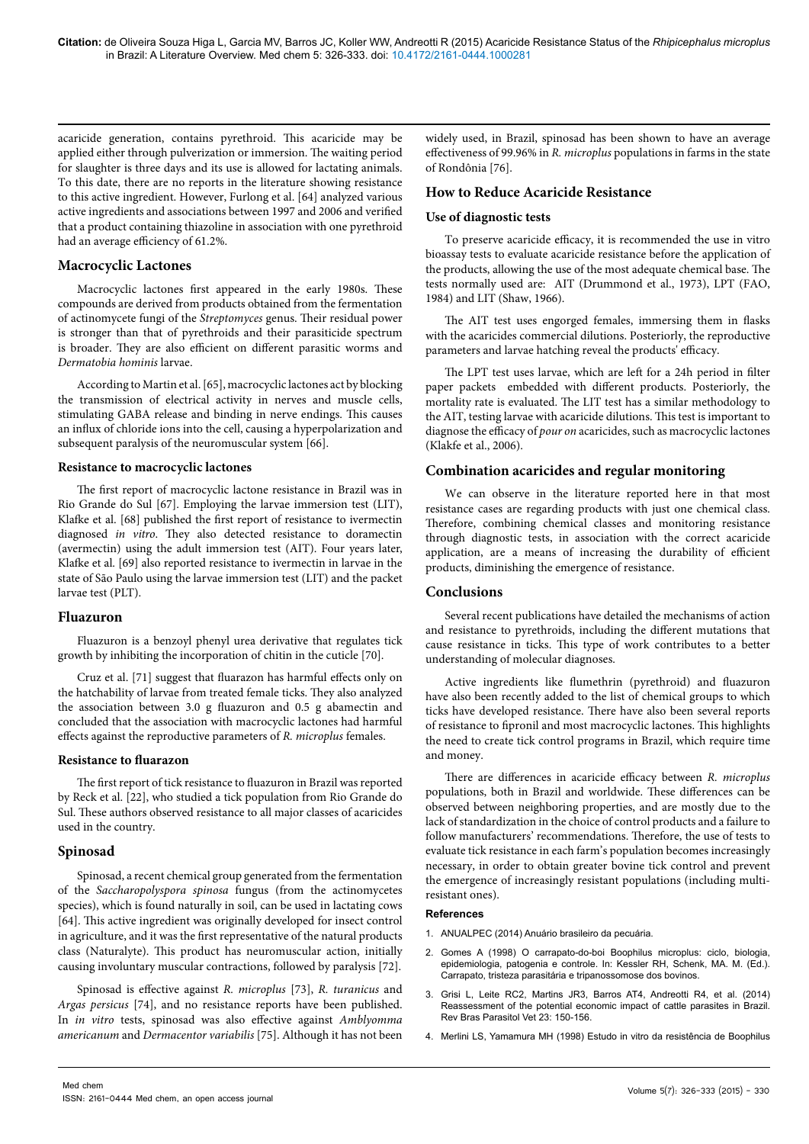acaricide generation, contains pyrethroid. This acaricide may be applied either through pulverization or immersion. The waiting period for slaughter is three days and its use is allowed for lactating animals. To this date, there are no reports in the literature showing resistance to this active ingredient. However, Furlong et al. [64] analyzed various active ingredients and associations between 1997 and 2006 and verified that a product containing thiazoline in association with one pyrethroid had an average efficiency of 61.2%.

# **Macrocyclic Lactones**

Macrocyclic lactones first appeared in the early 1980s. These compounds are derived from products obtained from the fermentation of actinomycete fungi of the *Streptomyces* genus. Their residual power is stronger than that of pyrethroids and their parasiticide spectrum is broader. They are also efficient on different parasitic worms and *Dermatobia hominis* larvae.

According to Martin et al. [65], macrocyclic lactones act by blocking the transmission of electrical activity in nerves and muscle cells, stimulating GABA release and binding in nerve endings. This causes an influx of chloride ions into the cell, causing a hyperpolarization and subsequent paralysis of the neuromuscular system [66].

#### **Resistance to macrocyclic lactones**

The first report of macrocyclic lactone resistance in Brazil was in Rio Grande do Sul [67]. Employing the larvae immersion test (LIT), Klafke et al. [68] published the first report of resistance to ivermectin diagnosed *in vitro*. They also detected resistance to doramectin (avermectin) using the adult immersion test (AIT). Four years later, Klafke et al. [69] also reported resistance to ivermectin in larvae in the state of São Paulo using the larvae immersion test (LIT) and the packet larvae test (PLT).

# **Fluazuron**

Fluazuron is a benzoyl phenyl urea derivative that regulates tick growth by inhibiting the incorporation of chitin in the cuticle [70].

Cruz et al. [71] suggest that fluarazon has harmful effects only on the hatchability of larvae from treated female ticks. They also analyzed the association between 3.0 g fluazuron and 0.5 g abamectin and concluded that the association with macrocyclic lactones had harmful effects against the reproductive parameters of *R. microplus* females.

#### **Resistance to fluarazon**

The first report of tick resistance to fluazuron in Brazil was reported by Reck et al. [22], who studied a tick population from Rio Grande do Sul. These authors observed resistance to all major classes of acaricides used in the country.

#### **Spinosad**

Spinosad, a recent chemical group generated from the fermentation of the *Saccharopolyspora spinosa* fungus (from the actinomycetes species), which is found naturally in soil, can be used in lactating cows [64]. This active ingredient was originally developed for insect control in agriculture, and it was the first representative of the natural products class (Naturalyte). This product has neuromuscular action, initially causing involuntary muscular contractions, followed by paralysis [72].

Spinosad is effective against *R. microplus* [73], *R. turanicus* and *Argas persicus* [74], and no resistance reports have been published. In *in vitro* tests, spinosad was also effective against *Amblyomma americanum* and *Dermacentor variabilis* [75]. Although it has not been

widely used, in Brazil, spinosad has been shown to have an average effectiveness of 99.96% in *R. microplus* populations in farms in the state of Rondônia [76].

# **How to Reduce Acaricide Resistance**

#### **Use of diagnostic tests**

To preserve acaricide efficacy, it is recommended the use in vitro bioassay tests to evaluate acaricide resistance before the application of the products, allowing the use of the most adequate chemical base. The tests normally used are: AIT (Drummond et al., 1973), LPT (FAO, 1984) and LIT (Shaw, 1966).

The AIT test uses engorged females, immersing them in flasks with the acaricides commercial dilutions. Posteriorly, the reproductive parameters and larvae hatching reveal the products' efficacy.

The LPT test uses larvae, which are left for a 24h period in filter paper packets embedded with different products. Posteriorly, the mortality rate is evaluated. The LIT test has a similar methodology to the AIT, testing larvae with acaricide dilutions. This test is important to diagnose the efficacy of *pour on* acaricides, such as macrocyclic lactones (Klakfe et al., 2006).

#### **Combination acaricides and regular monitoring**

We can observe in the literature reported here in that most resistance cases are regarding products with just one chemical class. Therefore, combining chemical classes and monitoring resistance through diagnostic tests, in association with the correct acaricide application, are a means of increasing the durability of efficient products, diminishing the emergence of resistance.

### **Conclusions**

Several recent publications have detailed the mechanisms of action and resistance to pyrethroids, including the different mutations that cause resistance in ticks. This type of work contributes to a better understanding of molecular diagnoses.

Active ingredients like flumethrin (pyrethroid) and fluazuron have also been recently added to the list of chemical groups to which ticks have developed resistance. There have also been several reports of resistance to fipronil and most macrocyclic lactones. This highlights the need to create tick control programs in Brazil, which require time and money.

There are differences in acaricide efficacy between *R. microplus* populations, both in Brazil and worldwide. These differences can be observed between neighboring properties, and are mostly due to the lack of standardization in the choice of control products and a failure to follow manufacturers' recommendations. Therefore, the use of tests to evaluate tick resistance in each farm's population becomes increasingly necessary, in order to obtain greater bovine tick control and prevent the emergence of increasingly resistant populations (including multiresistant ones).

#### **References**

- 1. ANUALPEC (2014) Anuário brasileiro da pecuária.
- 2. Gomes A (1998) O carrapato-do-boi Boophilus microplus: ciclo, biologia, epidemiologia, patogenia e controle. In: Kessler RH, Schenk, MA. M. (Ed.). Carrapato, tristeza parasitária e tripanossomose dos bovinos.
- 3. [Grisi L, Leite RC2, Martins JR3, Barros AT4, Andreotti R4, et al. \(2014\)](http://www.ncbi.nlm.nih.gov/pubmed/25054492)  [Reassessment of the potential economic impact of cattle parasites in Brazil.](http://www.ncbi.nlm.nih.gov/pubmed/25054492)  [Rev Bras Parasitol Vet 23: 150-156.](http://www.ncbi.nlm.nih.gov/pubmed/25054492)
- 4. [Merlini LS, Yamamura MH \(1998\) Estudo in vitro da resistência de Boophilus](http://www.uel.br/revistas/uel/index.php/semagrarias/article/view/5013)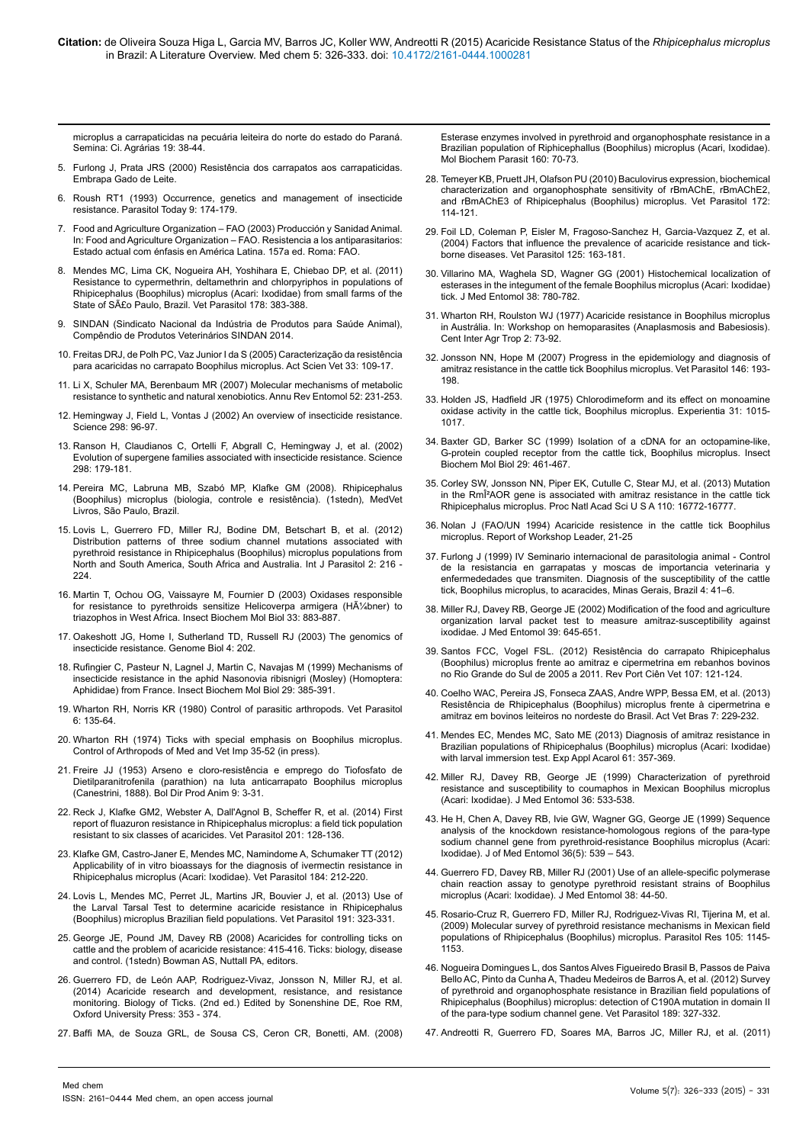[microplus a carrapaticidas na pecuária leiteira do norte do estado do Paraná.](http://www.uel.br/revistas/uel/index.php/semagrarias/article/view/5013) [Semina: Ci. Agrárias 19: 38-44.](http://www.uel.br/revistas/uel/index.php/semagrarias/article/view/5013)

- 5. [Furlong J, Prata JRS \(2000\) Resistência dos carrapatos aos carrapaticidas.](http://www.cnpgl.embrapa.br/totem/conteudo/Sanidade_carrapatos_vermes_e_doencas/Pasta_do_Produtor/34_Resistencia_dos_carrapatos_aos_carrapaticidas.pdf) [Embrapa Gado de Leite.](http://www.cnpgl.embrapa.br/totem/conteudo/Sanidade_carrapatos_vermes_e_doencas/Pasta_do_Produtor/34_Resistencia_dos_carrapatos_aos_carrapaticidas.pdf)
- 6. [Roush RT1 \(1993\) Occurrence, genetics and management of insecticide](http://www.ncbi.nlm.nih.gov/pubmed/15463747) [resistance. Parasitol Today 9: 174-179.](http://www.ncbi.nlm.nih.gov/pubmed/15463747)
- 7. Food and Agriculture Organization FAO (2003) Producción y Sanidad Animal. In: Food and Agriculture Organization – FAO. Resistencia a los antiparasitarios: Estado actual com énfasis en América Latina. 157a ed. Roma: FAO.
- 8. [Mendes MC, Lima CK, Nogueira AH, Yoshihara E, Chiebao DP, et al. \(2011\)](http://www.ncbi.nlm.nih.gov/pubmed/21306827) [Resistance to cypermethrin, deltamethrin and chlorpyriphos in populations of](http://www.ncbi.nlm.nih.gov/pubmed/21306827) [Rhipicephalus \(Boophilus\) microplus \(Acari: Ixodidae\) from small farms of the](http://www.ncbi.nlm.nih.gov/pubmed/21306827) [State of São Paulo, Brazil. Vet Parasitol 178: 383-388.](http://www.ncbi.nlm.nih.gov/pubmed/21306827)
- 9. SINDAN (Sindicato Nacional da Indústria de Produtos para Saúde Animal), Compêndio de Produtos Veterinários SINDAN 2014.
- 10. [Freitas DRJ, de Polh PC, Vaz Junior I da S \(2005\) Caracterização da resistência](http://www.lume.ufrgs.br/handle/10183/20050) [para acaricidas no carrapato Boophilus microplus. Act Scien Vet 33: 109-17.](http://www.lume.ufrgs.br/handle/10183/20050)
- 11. [Li X, Schuler MA, Berenbaum MR \(2007\) Molecular mechanisms of metabolic](http://www.ncbi.nlm.nih.gov/pubmed/16925478) [resistance to synthetic and natural xenobiotics. Annu Rev Entomol 52: 231-253.](http://www.ncbi.nlm.nih.gov/pubmed/16925478)
- 12. [Hemingway J, Field L, Vontas J \(2002\) An overview of insecticide resistance.](http://www.ncbi.nlm.nih.gov/pubmed/12364782) [Science 298: 96-97.](http://www.ncbi.nlm.nih.gov/pubmed/12364782)
- 13. [Ranson H, Claudianos C, Ortelli F, Abgrall C, Hemingway J, et al. \(2002\)](http://www.ncbi.nlm.nih.gov/pubmed/12364796) [Evolution of supergene families associated with insecticide resistance. Science](http://www.ncbi.nlm.nih.gov/pubmed/12364796) [298: 179-181.](http://www.ncbi.nlm.nih.gov/pubmed/12364796)
- 14. Pereira MC, Labruna MB, Szabó MP, Klafke GM (2008). Rhipicephalus (Boophilus) microplus (biologia, controle e resistência). (1stedn), MedVet Livros, São Paulo, Brazil.
- 15. [Lovis L, Guerrero FD, Miller RJ, Bodine DM, Betschart B, et al. \(2012\)](http://www.sciencedirect.com/science/article/pii/S2211320712000243) [Distribution patterns of three sodium channel mutations associated with](http://www.sciencedirect.com/science/article/pii/S2211320712000243) [pyrethroid resistance in Rhipicephalus \(Boophilus\) microplus populations from](http://www.sciencedirect.com/science/article/pii/S2211320712000243) [North and South America, South Africa and Australia. Int J Parasitol 2: 216 -](http://www.sciencedirect.com/science/article/pii/S2211320712000243) [224.](http://www.sciencedirect.com/science/article/pii/S2211320712000243)
- 16. [Martin T, Ochou OG, Vaissayre M, Fournier D \(2003\) Oxidases responsible](http://www.ncbi.nlm.nih.gov/pubmed/12915179) for resistance to pyrethroids sensitize Helicoverpa armigera (HA<sup>1/2</sup>bner) to [triazophos in West Africa. Insect Biochem Mol Biol 33: 883-887.](http://www.ncbi.nlm.nih.gov/pubmed/12915179)
- 17. [Oakeshott JG, Home I, Sutherland TD, Russell RJ \(2003\) The genomics of](http://www.ncbi.nlm.nih.gov/pubmed/12540295) [insecticide resistance. Genome Biol 4: 202.](http://www.ncbi.nlm.nih.gov/pubmed/12540295)
- 18. [Rufingier C, Pasteur N, Lagnel J, Martin C, Navajas M \(1999\) Mechanisms of](http://www.ncbi.nlm.nih.gov/pubmed/10333576) [insecticide resistance in the aphid Nasonovia ribisnigri \(Mosley\) \(Homoptera:](http://www.ncbi.nlm.nih.gov/pubmed/10333576) [Aphididae\) from France. Insect Biochem Mol Biol 29: 385-391.](http://www.ncbi.nlm.nih.gov/pubmed/10333576)
- 19. [Wharton RH, Norris KR \(1980\) Control of parasitic arthropods. Vet Parasitol](http://www.sciencedirect.com/science/article/pii/0304401780900412) [6: 135-64.](http://www.sciencedirect.com/science/article/pii/0304401780900412)
- 20. [Wharton RH \(1974\) Ticks with special emphasis on Boophilus microplus.](http://link.springer.com/chapter/10.1007/978-1-4684-2091-3_4) [Control of Arthropods of Med and Vet Imp 35-52 \(in press\).](http://link.springer.com/chapter/10.1007/978-1-4684-2091-3_4)
- 21. Freire JJ (1953) Arseno e cloro-resistência e emprego do Tiofosfato de Dietilparanitrofenila (parathion) na luta anticarrapato Boophilus microplus (Canestrini, 1888). Bol Dir Prod Anim 9: 3-31.
- 22. [Reck J, Klafke GM2, Webster A, Dall'Agnol B, Scheffer R, et al. \(2014\) First](http://www.ncbi.nlm.nih.gov/pubmed/24560364) [report of fluazuron resistance in Rhipicephalus microplus: a field tick population](http://www.ncbi.nlm.nih.gov/pubmed/24560364) [resistant to six classes of acaricides. Vet Parasitol 201: 128-136.](http://www.ncbi.nlm.nih.gov/pubmed/24560364)
- 23. [Klafke GM, Castro-Janer E, Mendes MC, Namindome A, Schumaker TT \(2012\)](http://www.ncbi.nlm.nih.gov/pubmed/21978742) [Applicability of in vitro bioassays for the diagnosis of ivermectin resistance in](http://www.ncbi.nlm.nih.gov/pubmed/21978742) [Rhipicephalus microplus \(Acari: Ixodidae\). Vet Parasitol 184: 212-220.](http://www.ncbi.nlm.nih.gov/pubmed/21978742)
- 24. [Lovis L, Mendes MC, Perret JL, Martins JR, Bouvier J, et al. \(2013\) Use of](http://www.ncbi.nlm.nih.gov/pubmed/23059136) [the Larval Tarsal Test to determine acaricide resistance in Rhipicephalus](http://www.ncbi.nlm.nih.gov/pubmed/23059136) [\(Boophilus\) microplus Brazilian field populations. Vet Parasitol 191: 323-331.](http://www.ncbi.nlm.nih.gov/pubmed/23059136)
- 25. George JE, Pound JM, Davey RB (2008) Acaricides for controlling ticks on cattle and the problem of acaricide resistance: 415-416. Ticks: biology, disease and control. (1stedn) Bowman AS, Nuttall PA, editors.
- 26. Guerrero FD, de León AAP, Rodriguez-Vivaz, Jonsson N, Miller RJ, et al. (2014) Acaricide research and development, resistance, and resistance monitoring. Biology of Ticks. (2nd ed.) Edited by Sonenshine DE, Roe RM, Oxford University Press: 353 - 374.
- 27. [Baffi MA, de Souza GRL, de Sousa CS, Ceron CR, Bonetti, AM. \(2008\)](http://www.sciencedirect.com/science/article/pii/S0166685108000844)

[Esterase enzymes involved in pyrethroid and organophosphate resistance in a](http://www.sciencedirect.com/science/article/pii/S0166685108000844)  [Brazilian population of Riphicephallus \(Boophilus\) microplus \(Acari, Ixodidae\).](http://www.sciencedirect.com/science/article/pii/S0166685108000844)  [Mol Biochem Parasit 160: 70-73.](http://www.sciencedirect.com/science/article/pii/S0166685108000844)

- 28. [Temeyer KB, Pruett JH, Olafson PU \(2010\) Baculovirus expression, biochemical](http://www.ncbi.nlm.nih.gov/pubmed/20451328)  [characterization and organophosphate sensitivity of rBmAChE, rBmAChE2,](http://www.ncbi.nlm.nih.gov/pubmed/20451328)  [and rBmAChE3 of Rhipicephalus \(Boophilus\) microplus. Vet Parasitol 172:](http://www.ncbi.nlm.nih.gov/pubmed/20451328)  [114-121.](http://www.ncbi.nlm.nih.gov/pubmed/20451328)
- 29. [Foil LD, Coleman P, Eisler M, Fragoso-Sanchez H, Garcia-Vazquez Z, et al.](http://www.ncbi.nlm.nih.gov/pubmed/15476966)  [\(2004\) Factors that influence the prevalence of acaricide resistance and tick](http://www.ncbi.nlm.nih.gov/pubmed/15476966)[borne diseases. Vet Parasitol 125: 163-181.](http://www.ncbi.nlm.nih.gov/pubmed/15476966)
- 30. [Villarino MA, Waghela SD, Wagner GG \(2001\) Histochemical localization of](http://www.ncbi.nlm.nih.gov/pubmed/11761374)  [esterases in the integument of the female Boophilus microplus \(Acari: Ixodidae\)](http://www.ncbi.nlm.nih.gov/pubmed/11761374)  [tick. J Med Entomol 38: 780-782.](http://www.ncbi.nlm.nih.gov/pubmed/11761374)
- 31. Wharton RH, Roulston WJ (1977) Acaricide resistance in Boophilus microplus in Austrália. In: Workshop on hemoparasites (Anaplasmosis and Babesiosis). Cent Inter Agr Trop 2: 73-92.
- 32. [Jonsson NN, Hope M \(2007\) Progress in the epidemiology and diagnosis of](http://www.ncbi.nlm.nih.gov/pubmed/17448604)  [amitraz resistance in the cattle tick Boophilus microplus. Vet Parasitol 146: 193-](http://www.ncbi.nlm.nih.gov/pubmed/17448604) [198.](http://www.ncbi.nlm.nih.gov/pubmed/17448604)
- 33. [Holden JS, Hadfield JR \(1975\) Chlorodimeform and its effect on monoamine](http://www.ncbi.nlm.nih.gov/pubmed/1175733)  [oxidase activity in the cattle tick, Boophilus microplus. Experientia 31: 1015-](http://www.ncbi.nlm.nih.gov/pubmed/1175733) [1017.](http://www.ncbi.nlm.nih.gov/pubmed/1175733)
- 34. [Baxter GD, Barker SC \(1999\) Isolation of a cDNA for an octopamine-like,](http://www.ncbi.nlm.nih.gov/pubmed/10380658)  [G-protein coupled receptor from the cattle tick, Boophilus microplus. Insect](http://www.ncbi.nlm.nih.gov/pubmed/10380658)  [Biochem Mol Biol 29: 461-467.](http://www.ncbi.nlm.nih.gov/pubmed/10380658)
- 35. [Corley SW, Jonsson NN, Piper EK, Cutulle C, Stear MJ, et al. \(2013\) Mutation](http://www.ncbi.nlm.nih.gov/pubmed/24082133)  in the RmÎ<sup>2</sup>AOR gene is associated with amitraz resistance in the cattle tick [Rhipicephalus microplus. Proc Natl Acad Sci U S A 110: 16772-16777.](http://www.ncbi.nlm.nih.gov/pubmed/24082133)
- 36. Nolan J (FAO/UN 1994) Acaricide resistence in the cattle tick Boophilus microplus. Report of Workshop Leader, 21-25
- 37. Furlong J (1999) IV Seminario internacional de parasitologia animal Control de la resistancia en garrapatas y moscas de importancia veterinaria y enfermededades que transmiten. Diagnosis of the susceptibility of the cattle tick, Boophilus microplus, to acaracides, Minas Gerais, Brazil 4: 41–6.
- 38. [Miller RJ, Davey RB, George JE \(2002\) Modification of the food and agriculture](http://www.ncbi.nlm.nih.gov/pubmed/12144297)  [organization larval packet test to measure amitraz-susceptibility against](http://www.ncbi.nlm.nih.gov/pubmed/12144297)  [ixodidae. J Med Entomol 39: 645-651.](http://www.ncbi.nlm.nih.gov/pubmed/12144297)
- 39. [Santos FCC, Vogel FSL. \(2012\) Resistência do carrapato Rhipicephalus](http://www.fmv.utl.pt/spcv/PDF/pdf6_2012/121-124.pdf)  [\(Boophilus\) microplus frente ao amitraz e cipermetrina em rebanhos bovinos](http://www.fmv.utl.pt/spcv/PDF/pdf6_2012/121-124.pdf)  [no Rio Grande do Sul de 2005 a 2011. Rev Port Ciên Vet 107: 121-124.](http://www.fmv.utl.pt/spcv/PDF/pdf6_2012/121-124.pdf)
- 40. [Coelho WAC, Pereira JS, Fonseca ZAAS, Andre WPP, Bessa EM, et al. \(2013\)](http://200.137.6.4/revistas/index.php/acta/article/view/3276)  [Resistência de Rhipicephalus \(Boophilus\) microplus frente à cipermetrina e](http://200.137.6.4/revistas/index.php/acta/article/view/3276)  [amitraz em bovinos leiteiros no nordeste do Brasil. Act Vet Bras 7: 229-232.](http://200.137.6.4/revistas/index.php/acta/article/view/3276)
- 41. [Mendes EC, Mendes MC, Sato ME \(2013\) Diagnosis of amitraz resistance in](http://www.ncbi.nlm.nih.gov/pubmed/23620418)  [Brazilian populations of Rhipicephalus \(Boophilus\) microplus \(Acari: Ixodidae\)](http://www.ncbi.nlm.nih.gov/pubmed/23620418)  [with larval immersion test. Exp Appl Acarol 61: 357-369.](http://www.ncbi.nlm.nih.gov/pubmed/23620418)
- 42. [Miller RJ, Davey RB, George JE \(1999\) Characterization of pyrethroid](http://www.ncbi.nlm.nih.gov/pubmed/10534945)  [resistance and susceptibility to coumaphos in Mexican Boophilus microplus](http://www.ncbi.nlm.nih.gov/pubmed/10534945)  [\(Acari: Ixodidae\). J Med Entomol 36: 533-538.](http://www.ncbi.nlm.nih.gov/pubmed/10534945)
- 43. [He H, Chen A, Davey RB, Ivie GW, Wagner GG, George JE \(1999\) Sequence](http://jme.oxfordjournals.org/content/36/5/539.abstract)  [analysis of the knockdown resistance-homologous regions of the para-type](http://jme.oxfordjournals.org/content/36/5/539.abstract)  [sodium channel gene from pyrethroid-resistance Boophilus microplus \(Acari:](http://jme.oxfordjournals.org/content/36/5/539.abstract)  [Ixodidae\). J of Med Entomol 36\(5\): 539 – 543.](http://jme.oxfordjournals.org/content/36/5/539.abstract)
- 44. [Guerrero FD, Davey RB, Miller RJ \(2001\) Use of an allele-specific polymerase](http://www.ncbi.nlm.nih.gov/pubmed/11268690)  [chain reaction assay to genotype pyrethroid resistant strains of Boophilus](http://www.ncbi.nlm.nih.gov/pubmed/11268690)  [microplus \(Acari: Ixodidae\). J Med Entomol 38: 44-50.](http://www.ncbi.nlm.nih.gov/pubmed/11268690)
- 45. [Rosario-Cruz R, Guerrero FD, Miller RJ, Rodriguez-Vivas RI, Tijerina M, et al.](http://www.ncbi.nlm.nih.gov/pubmed/19565267)  [\(2009\) Molecular survey of pyrethroid resistance mechanisms in Mexican field](http://www.ncbi.nlm.nih.gov/pubmed/19565267)  [populations of Rhipicephalus \(Boophilus\) microplus. Parasitol Res 105: 1145-](http://www.ncbi.nlm.nih.gov/pubmed/19565267) [1153.](http://www.ncbi.nlm.nih.gov/pubmed/19565267)
- 46. [Nogueira Domingues L, dos Santos Alves Figueiredo Brasil B, Passos de Paiva](http://www.ncbi.nlm.nih.gov/pubmed/22647463)  [Bello AC, Pinto da Cunha A, Thadeu Medeiros de Barros A, et al. \(2012\) Survey](http://www.ncbi.nlm.nih.gov/pubmed/22647463)  [of pyrethroid and organophosphate resistance in Brazilian field populations of](http://www.ncbi.nlm.nih.gov/pubmed/22647463)  [Rhipicephalus \(Boophilus\) microplus: detection of C190A mutation in domain II](http://www.ncbi.nlm.nih.gov/pubmed/22647463)  [of the para-type sodium channel gene. Vet Parasitol 189: 327-332.](http://www.ncbi.nlm.nih.gov/pubmed/22647463)
- 47. [Andreotti R, Guerrero FD, Soares MA, Barros JC, Miller RJ, et al. \(2011\)](http://www.ncbi.nlm.nih.gov/pubmed/21722487)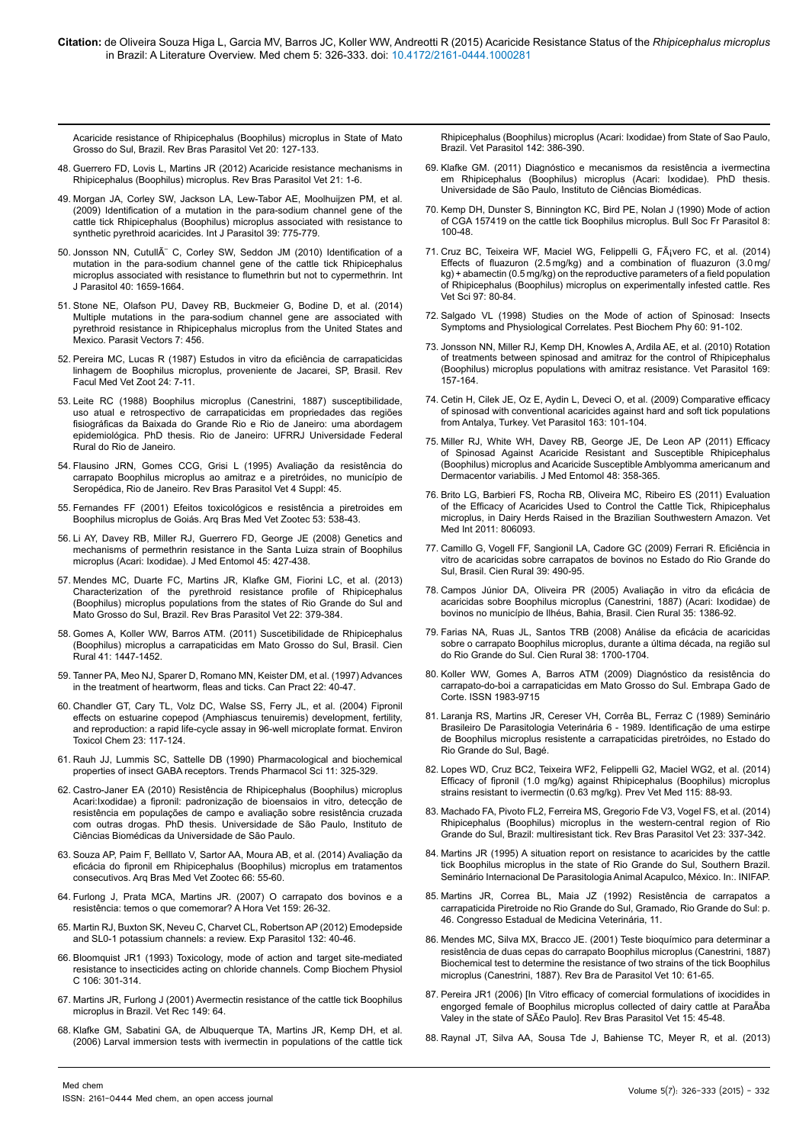[Acaricide resistance of Rhipicephalus \(Boophilus\) microplus in State of Mato](http://www.ncbi.nlm.nih.gov/pubmed/21722487) [Grosso do Sul, Brazil. Rev Bras Parasitol Vet 20: 127-133.](http://www.ncbi.nlm.nih.gov/pubmed/21722487)

- 48. [Guerrero FD, Lovis L, Martins JR \(2012\) Acaricide resistance mechanisms in](http://www.ncbi.nlm.nih.gov/pubmed/22534937) [Rhipicephalus \(Boophilus\) microplus. Rev Bras Parasitol Vet 21: 1-6.](http://www.ncbi.nlm.nih.gov/pubmed/22534937)
- 49. [Morgan JA, Corley SW, Jackson LA, Lew-Tabor AE, Moolhuijzen PM, et al.](http://www.ncbi.nlm.nih.gov/pubmed/19367831) [\(2009\) Identification of a mutation in the para-sodium channel gene of the](http://www.ncbi.nlm.nih.gov/pubmed/19367831) [cattle tick Rhipicephalus \(Boophilus\) microplus associated with resistance to](http://www.ncbi.nlm.nih.gov/pubmed/19367831) [synthetic pyrethroid acaricides. Int J Parasitol 39: 775-779.](http://www.ncbi.nlm.nih.gov/pubmed/19367831)
- 50. Jonsson NN, CutullA C, Corley SW, Seddon JM (2010) Identification of a [mutation in the para-sodium channel gene of the cattle tick Rhipicephalus](http://www.ncbi.nlm.nih.gov/pubmed/20708620) [microplus associated with resistance to flumethrin but not to cypermethrin. Int](http://www.ncbi.nlm.nih.gov/pubmed/20708620) [J Parasitol 40: 1659-1664.](http://www.ncbi.nlm.nih.gov/pubmed/20708620)
- 51. [Stone NE, Olafson PU, Davey RB, Buckmeier G, Bodine D, et al. \(2014\)](http://www.ncbi.nlm.nih.gov/pubmed/25266983) [Multiple mutations in the para-sodium channel gene are associated with](http://www.ncbi.nlm.nih.gov/pubmed/25266983) [pyrethroid resistance in Rhipicephalus microplus from the United States and](http://www.ncbi.nlm.nih.gov/pubmed/25266983) [Mexico. Parasit Vectors 7: 456.](http://www.ncbi.nlm.nih.gov/pubmed/25266983)
- 52. [Pereira MC, Lucas R \(1987\) Estudos in vitro da eficiência de carrapaticidas](http://www.revistas.usp.br/rfmvzusp/article/download/61584/64497) [linhagem de Boophilus microplus, proveniente de Jacarei, SP, Brasil. Rev](http://www.revistas.usp.br/rfmvzusp/article/download/61584/64497) [Facul Med Vet Zoot 24: 7-11.](http://www.revistas.usp.br/rfmvzusp/article/download/61584/64497)
- 53. Leite RC (1988) Boophilus microplus (Canestrini, 1887) susceptibilidade, uso atual e retrospectivo de carrapaticidas em propriedades das regiões fisiográficas da Baixada do Grande Rio e Rio de Janeiro: uma abordagem epidemiológica. PhD thesis. Rio de Janeiro: UFRRJ Universidade Federal Rural do Rio de Janeiro.
- 54. Flausino JRN, Gomes CCG, Grisi L (1995) Avaliação da resistência do carrapato Boophilus microplus ao amitraz e a piretróides, no município de Seropédica, Rio de Janeiro. Rev Bras Parasitol Vet 4 Suppl: 45.
- 55. Fernandes FF (2001) Efeitos toxicológicos e resistência a piretroides em Boophilus microplus de Goiás. Arq Bras Med Vet Zootec 53: 538-43.
- 56. [Li AY, Davey RB, Miller RJ, Guerrero FD, George JE \(2008\) Genetics and](http://www.ncbi.nlm.nih.gov/pubmed/18533436) [mechanisms of permethrin resistance in the Santa Luiza strain of Boophilus](http://www.ncbi.nlm.nih.gov/pubmed/18533436) [microplus \(Acari: Ixodidae\). J Med Entomol 45: 427-438.](http://www.ncbi.nlm.nih.gov/pubmed/18533436)
- 57. [Mendes MC, Duarte FC, Martins JR, Klafke GM, Fiorini LC, et al. \(2013\)](http://www.ncbi.nlm.nih.gov/pubmed/24142169) [Characterization of the pyrethroid resistance profile of Rhipicephalus](http://www.ncbi.nlm.nih.gov/pubmed/24142169) [\(Boophilus\) microplus populations from the states of Rio Grande do Sul and](http://www.ncbi.nlm.nih.gov/pubmed/24142169) [Mato Grosso do Sul, Brazil. Rev Bras Parasitol Vet 22: 379-384.](http://www.ncbi.nlm.nih.gov/pubmed/24142169)
- 58. [Gomes A, Koller WW, Barros ATM. \(2011\) Suscetibilidade de Rhipicephalus](http://www.scielo.br/scielo.php?pid=S0103-84782011000800024&script=sci_arttext&tlng=es) [\(Boophilus\) microplus a carrapaticidas em Mato Grosso do Sul, Brasil. Cien](http://www.scielo.br/scielo.php?pid=S0103-84782011000800024&script=sci_arttext&tlng=es) [Rural 41: 1447-1452.](http://www.scielo.br/scielo.php?pid=S0103-84782011000800024&script=sci_arttext&tlng=es)
- 59. Tanner PA, Meo NJ, Sparer D, Romano MN, Keister DM, et al. (1997) Advances in the treatment of heartworm, fleas and ticks. Can Pract 22: 40-47.
- 60. [Chandler GT, Cary TL, Volz DC, Walse SS, Ferry JL, et al. \(2004\) Fipronil](http://www.ncbi.nlm.nih.gov/pubmed/14768875) [effects on estuarine copepod \(Amphiascus tenuiremis\) development, fertility,](http://www.ncbi.nlm.nih.gov/pubmed/14768875) [and reproduction: a rapid life-cycle assay in 96-well microplate format. Environ](http://www.ncbi.nlm.nih.gov/pubmed/14768875) [Toxicol Chem 23: 117-124.](http://www.ncbi.nlm.nih.gov/pubmed/14768875)
- 61. [Rauh JJ, Lummis SC, Sattelle DB \(1990\) Pharmacological and biochemical](http://www.ncbi.nlm.nih.gov/pubmed/2168103) [properties of insect GABA receptors. Trends Pharmacol Sci 11: 325-329.](http://www.ncbi.nlm.nih.gov/pubmed/2168103)
- 62. [Castro-Janer EA \(2010\) Resistência de Rhipicephalus \(Boophilus\) microplus](http://www.teses.usp.br/teses/disponiveis/42/42135/tde-17012011-113819/pt-br.php) [Acari:Ixodidae\) a fipronil: padronização de bioensaios in vitro, detecção de](http://www.teses.usp.br/teses/disponiveis/42/42135/tde-17012011-113819/pt-br.php) [resistência em populações de campo e avaliação sobre resistência cruzada](http://www.teses.usp.br/teses/disponiveis/42/42135/tde-17012011-113819/pt-br.php) [com outras drogas. PhD thesis. Universidade de São Paulo, Instituto de](http://www.teses.usp.br/teses/disponiveis/42/42135/tde-17012011-113819/pt-br.php) [Ciências Biomédicas da Universidade de São Paulo.](http://www.teses.usp.br/teses/disponiveis/42/42135/tde-17012011-113819/pt-br.php)
- 63. [Souza AP, Paim F, Belllato V, Sartor AA, Moura AB, et al. \(2014\) Avaliação da](http://bases.bireme.br/cgi-bin/wxislind.exe/iah/online/?IsisScript=iah/iah.xis&src=google&base=LILACS&lang=p&nextAction=lnk&exprSearch=704006&indexSearch=ID) [eficácia do fipronil em Rhipicephalus \(Boophilus\) microplus em tratamentos](http://bases.bireme.br/cgi-bin/wxislind.exe/iah/online/?IsisScript=iah/iah.xis&src=google&base=LILACS&lang=p&nextAction=lnk&exprSearch=704006&indexSearch=ID) [consecutivos. Arq Bras Med Vet Zootec 66: 55-60.](http://bases.bireme.br/cgi-bin/wxislind.exe/iah/online/?IsisScript=iah/iah.xis&src=google&base=LILACS&lang=p&nextAction=lnk&exprSearch=704006&indexSearch=ID)
- 64. [Furlong J, Prata MCA, Martins JR. \(2007\) O carrapato dos bovinos e a](http://cpamt.sede.embrapa.br/biblioteca/material-de-curso/modulo-3/Artigo A Hora Veterinaria Set 07.pdf) [resistência: temos o que comemorar? A Hora Vet 159: 26-32.](http://cpamt.sede.embrapa.br/biblioteca/material-de-curso/modulo-3/Artigo A Hora Veterinaria Set 07.pdf)
- 65. [Martin RJ, Buxton SK, Neveu C, Charvet CL, Robertson AP \(2012\) Emodepside](http://www.ncbi.nlm.nih.gov/pubmed/21910990) [and SL0-1 potassium channels: a review. Exp Parasitol 132: 40-46.](http://www.ncbi.nlm.nih.gov/pubmed/21910990)
- 66. [Bloomquist JR1 \(1993\) Toxicology, mode of action and target site-mediated](http://www.ncbi.nlm.nih.gov/pubmed/7904908) [resistance to insecticides acting on chloride channels. Comp Biochem Physiol](http://www.ncbi.nlm.nih.gov/pubmed/7904908) [C 106: 301-314.](http://www.ncbi.nlm.nih.gov/pubmed/7904908)
- 67. [Martins JR, Furlong J \(2001\) Avermectin resistance of the cattle tick Boophilus](http://www.ncbi.nlm.nih.gov/pubmed/11488352) [microplus in Brazil. Vet Rec 149: 64.](http://www.ncbi.nlm.nih.gov/pubmed/11488352)
- 68. [Klafke GM, Sabatini GA, de Albuquerque TA, Martins JR, Kemp DH, et al.](http://www.ncbi.nlm.nih.gov/pubmed/16904265) [\(2006\) Larval immersion tests with ivermectin in populations of the cattle tick](http://www.ncbi.nlm.nih.gov/pubmed/16904265)

[Rhipicephalus \(Boophilus\) microplus \(Acari: Ixodidae\) from State of Sao Paulo,](http://www.ncbi.nlm.nih.gov/pubmed/16904265)  [Brazil. Vet Parasitol 142: 386-390.](http://www.ncbi.nlm.nih.gov/pubmed/16904265)

- 69. Klafke GM. (2011) Diagnóstico e mecanismos da resistência a ivermectina em Rhipicephalus (Boophilus) microplus (Acari: Ixodidae). PhD thesis. Universidade de São Paulo, Instituto de Ciências Biomédicas.
- 70. Kemp DH, Dunster S, Binnington KC, Bird PE, Nolan J (1990) Mode of action of CGA 157419 on the cattle tick Boophilus microplus. Bull Soc Fr Parasitol 8: 100-48.
- 71. Cruz BC, Teixeira WF, Maciel WG, Felippelli G, FÂjvero FC, et al. (2014) Effects of fluazuron  $(2.5 \text{ mg/kg})$  and a combination of fluazuron  $(3.0 \text{ mg/kg})$ kg) + abamectin (0.5 [mg/kg\) on the reproductive parameters of a field population](http://www.ncbi.nlm.nih.gov/pubmed/24837997)  [of Rhipicephalus \(Boophilus\) microplus on experimentally infested cattle. Res](http://www.ncbi.nlm.nih.gov/pubmed/24837997)  [Vet Sci 97: 80-84.](http://www.ncbi.nlm.nih.gov/pubmed/24837997)
- 72. [Salgado VL \(1998\) Studies on the Mode of action of Spinosad: Insects](http://www.sciencedirect.com/science/article/pii/S004835759892332X)  [Symptoms and Physiological Correlates. Pest Biochem Phy 60: 91-102.](http://www.sciencedirect.com/science/article/pii/S004835759892332X)
- 73. [Jonsson NN, Miller RJ, Kemp DH, Knowles A, Ardila AE, et al. \(2010\) Rotation](http://www.ncbi.nlm.nih.gov/pubmed/20079571)  [of treatments between spinosad and amitraz for the control of Rhipicephalus](http://www.ncbi.nlm.nih.gov/pubmed/20079571)  [\(Boophilus\) microplus populations with amitraz resistance. Vet Parasitol 169:](http://www.ncbi.nlm.nih.gov/pubmed/20079571)  [157-164.](http://www.ncbi.nlm.nih.gov/pubmed/20079571)
- 74. [Cetin H, Cilek JE, Oz E, Aydin L, Deveci O, et al. \(2009\) Comparative efficacy](http://www.ncbi.nlm.nih.gov/pubmed/19446398)  [of spinosad with conventional acaricides against hard and soft tick populations](http://www.ncbi.nlm.nih.gov/pubmed/19446398)  [from Antalya, Turkey. Vet Parasitol 163: 101-104.](http://www.ncbi.nlm.nih.gov/pubmed/19446398)
- 75. [Miller RJ, White WH, Davey RB, George JE, De Leon AP \(2011\) Efficacy](http://jme.oxfordjournals.org/content/48/2/358.abstract)  [of Spinosad Against Acaricide Resistant and Susceptible Rhipicephalus](http://jme.oxfordjournals.org/content/48/2/358.abstract)  [\(Boophilus\) microplus and Acaricide Susceptible Amblyomma americanum and](http://jme.oxfordjournals.org/content/48/2/358.abstract)  [Dermacentor variabilis. J Med Entomol 48: 358-365.](http://jme.oxfordjournals.org/content/48/2/358.abstract)
- 76. [Brito LG, Barbieri FS, Rocha RB, Oliveira MC, Ribeiro ES \(2011\) Evaluation](http://www.ncbi.nlm.nih.gov/pubmed/21547224)  [of the Efficacy of Acaricides Used to Control the Cattle Tick, Rhipicephalus](http://www.ncbi.nlm.nih.gov/pubmed/21547224)  [microplus, in Dairy Herds Raised in the Brazilian Southwestern Amazon. Vet](http://www.ncbi.nlm.nih.gov/pubmed/21547224)  [Med Int 2011: 806093.](http://www.ncbi.nlm.nih.gov/pubmed/21547224)
- 77. Camillo G, Vogell FF, Sangionil LA, Cadore GC (2009) Ferrari R. Eficiência in vitro de acaricidas sobre carrapatos de bovinos no Estado do Rio Grande do Sul, Brasil. Cien Rural 39: 490-95.
- 78. [Campos Júnior DA, Oliveira PR \(2005\) Avaliação in vitro da eficácia de](http://bases.bireme.br/cgi-bin/wxislind.exe/iah/online/?IsisScript=iah/iah.xis&src=google&base=LILACS&lang=p&nextAction=lnk&exprSearch=417680&indexSearch=ID)  [acaricidas sobre Boophilus microplus \(Canestrini, 1887\) \(Acari: Ixodidae\) de](http://bases.bireme.br/cgi-bin/wxislind.exe/iah/online/?IsisScript=iah/iah.xis&src=google&base=LILACS&lang=p&nextAction=lnk&exprSearch=417680&indexSearch=ID)  [bovinos no município de Ilhéus, Bahia, Brasil. Cien Rural 35: 1386-92.](http://bases.bireme.br/cgi-bin/wxislind.exe/iah/online/?IsisScript=iah/iah.xis&src=google&base=LILACS&lang=p&nextAction=lnk&exprSearch=417680&indexSearch=ID)
- 79. [Farias NA, Ruas JL, Santos TRB \(2008\) Análise da eficácia de acaricidas](http://www.scielo.br/pdf/cr/v38n6/a32v38n6.pdf)  [sobre o carrapato Boophilus microplus, durante a última década, na região sul](http://www.scielo.br/pdf/cr/v38n6/a32v38n6.pdf)  [do Rio Grande do Sul. Cien Rural 38: 1700-1704.](http://www.scielo.br/pdf/cr/v38n6/a32v38n6.pdf)
- 80. [Koller WW, Gomes A, Barros ATM \(2009\) Diagnóstico da resistência do](http://www.infoteca.cnptia.embrapa.br/bitstream/doc/327201/1/BP25.pdf)  [carrapato-do-boi a carrapaticidas em Mato Grosso do Sul. Embrapa Gado de](http://www.infoteca.cnptia.embrapa.br/bitstream/doc/327201/1/BP25.pdf)  [Corte. ISSN 1983-9715](http://www.infoteca.cnptia.embrapa.br/bitstream/doc/327201/1/BP25.pdf)
- 81. Laranja RS, Martins JR, Cereser VH, Corrêa BL, Ferraz C (1989) Seminário Brasileiro De Parasitologia Veterinária 6 - 1989. Identificação de uma estirpe de Boophilus microplus resistente a carrapaticidas piretróides, no Estado do Rio Grande do Sul, Bagé.
- 82. [Lopes WD, Cruz BC2, Teixeira WF2, Felippelli G2, Maciel WG2, et al. \(2014\)](http://www.ncbi.nlm.nih.gov/pubmed/24853051)  [Efficacy of fipronil \(1.0 mg/kg\) against Rhipicephalus \(Boophilus\) microplus](http://www.ncbi.nlm.nih.gov/pubmed/24853051)  [strains resistant to ivermectin \(0.63 mg/kg\). Prev Vet Med 115: 88-93.](http://www.ncbi.nlm.nih.gov/pubmed/24853051)
- 83. [Machado FA, Pivoto FL2, Ferreira MS, Gregorio Fde V3, Vogel FS, et al. \(2014\)](http://www.ncbi.nlm.nih.gov/pubmed/25271453)  [Rhipicephalus \(Boophilus\) microplus in the western-central region of Rio](http://www.ncbi.nlm.nih.gov/pubmed/25271453)  [Grande do Sul, Brazil: multiresistant tick. Rev Bras Parasitol Vet 23: 337-342.](http://www.ncbi.nlm.nih.gov/pubmed/25271453)
- 84. Martins JR (1995) A situation report on resistance to acaricides by the cattle tick Boophilus microplus in the state of Rio Grande do Sul, Southern Brazil. Seminário Internacional De Parasitologia Animal Acapulco, México. In:. INIFAP.
- 85. Martins JR, Correa BL, Maia JZ (1992) Resistência de carrapatos a carrapaticida Piretroide no Rio Grande do Sul, Gramado, Rio Grande do Sul: p. 46. Congresso Estadual de Medicina Veterinária, 11.
- 86. [Mendes MC, Silva MX, Bracco JE. \(2001\) Teste bioquímico para determinar a](http://www.ufrrj.br/rbpv/1022001/c10261_65.pdf)  [resistência de duas cepas do carrapato Boophilus microplus \(Canestrini, 1887\)](http://www.ufrrj.br/rbpv/1022001/c10261_65.pdf)  [Biochemical test to determine the resistance of two strains of the tick Boophilus](http://www.ufrrj.br/rbpv/1022001/c10261_65.pdf)  [microplus \(Canestrini, 1887\). Rev Bra de Parasitol Vet 10: 61-65.](http://www.ufrrj.br/rbpv/1022001/c10261_65.pdf)
- 87. [Pereira JR1 \(2006\) \[In Vitro efficacy of comercial formulations of ixocidides in](http://www.ncbi.nlm.nih.gov/pubmed/16834895)  [engorged female of Boophilus microplus collected of dairy cattle at ParaÃba](http://www.ncbi.nlm.nih.gov/pubmed/16834895)  [Valey in the state of São Paulo\]. Rev Bras Parasitol Vet 15: 45-48.](http://www.ncbi.nlm.nih.gov/pubmed/16834895)
- 88. [Raynal JT, Silva AA, Sousa Tde J, Bahiense TC, Meyer R, et al. \(2013\)](http://www.ncbi.nlm.nih.gov/pubmed/23538503)